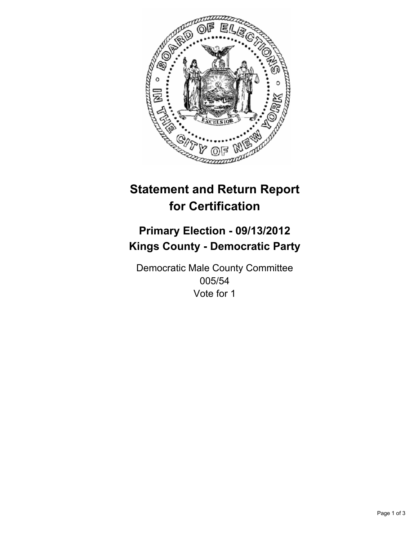

# **Statement and Return Report for Certification**

## **Primary Election - 09/13/2012 Kings County - Democratic Party**

Democratic Male County Committee 005/54 Vote for 1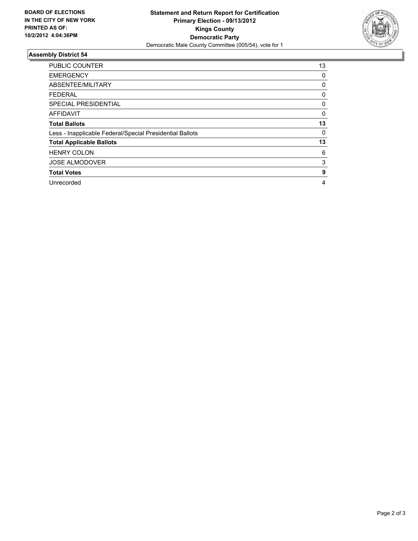

### **Assembly District 54**

| PUBLIC COUNTER                                           | 13 |
|----------------------------------------------------------|----|
| <b>EMERGENCY</b>                                         | 0  |
| ABSENTEE/MILITARY                                        | 0  |
| <b>FEDERAL</b>                                           | 0  |
| SPECIAL PRESIDENTIAL                                     | 0  |
| <b>AFFIDAVIT</b>                                         | 0  |
| <b>Total Ballots</b>                                     | 13 |
| Less - Inapplicable Federal/Special Presidential Ballots | 0  |
| <b>Total Applicable Ballots</b>                          | 13 |
| <b>HENRY COLON</b>                                       | 6  |
| <b>JOSE ALMODOVER</b>                                    | 3  |
| <b>Total Votes</b>                                       | 9  |
| Unrecorded                                               | 4  |